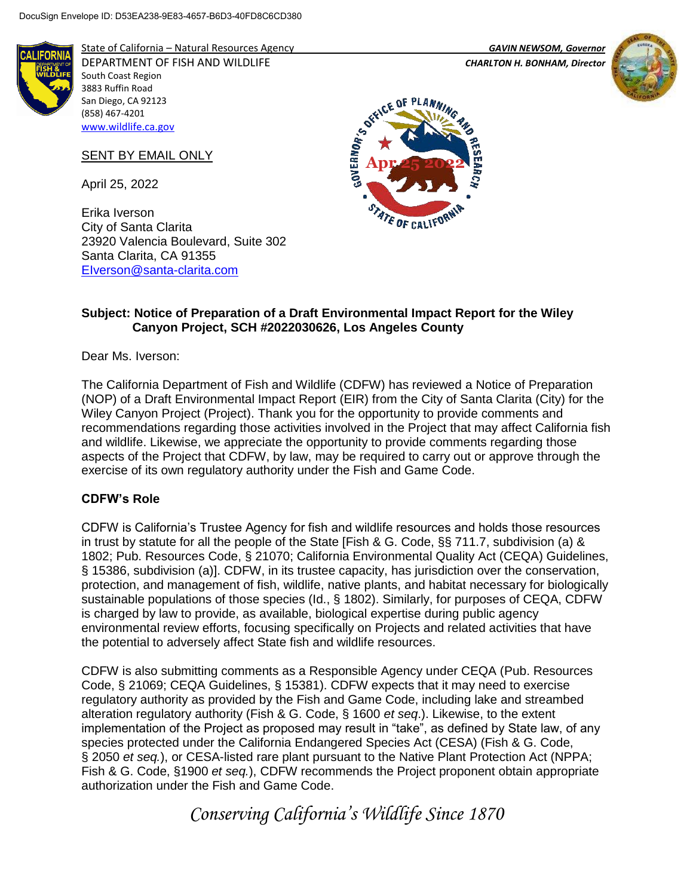

State of California – Natural Resources Agency *GAVIN NEWSOM, Governor* DEPARTMENT OF FISH AND WILDLIFE *CHARLTON H. BONHAM, Director*  South Coast Region 3883 Ruffin Road San Diego, CA 92123 (858) 467-4201

## SENT BY EMAIL ONLY

April 25, 2022

[www.wildlife.ca.gov](http://www.wildlife.ca.gov/)

Erika Iverson City of Santa Clarita 23920 Valencia Boulevard, Suite 302 Santa Clarita, CA 91355 [EIverson@santa-clarita.com](mailto:EIverson@santa-clarita.com)





### **Subject: Notice of Preparation of a Draft Environmental Impact Report for the Wiley Canyon Project, SCH #2022030626, Los Angeles County**

Dear Ms. Iverson:

The California Department of Fish and Wildlife (CDFW) has reviewed a Notice of Preparation (NOP) of a Draft Environmental Impact Report (EIR) from the City of Santa Clarita (City) for the Wiley Canyon Project (Project). Thank you for the opportunity to provide comments and recommendations regarding those activities involved in the Project that may affect California fish and wildlife. Likewise, we appreciate the opportunity to provide comments regarding those aspects of the Project that CDFW, by law, may be required to carry out or approve through the exercise of its own regulatory authority under the Fish and Game Code.

### **CDFW's Role**

CDFW is California's Trustee Agency for fish and wildlife resources and holds those resources in trust by statute for all the people of the State [Fish & G. Code, §§ 711.7, subdivision (a) & 1802; Pub. Resources Code, § 21070; California Environmental Quality Act (CEQA) Guidelines, § 15386, subdivision (a)]. CDFW, in its trustee capacity, has jurisdiction over the conservation, protection, and management of fish, wildlife, native plants, and habitat necessary for biologically sustainable populations of those species (Id., § 1802). Similarly, for purposes of CEQA, CDFW is charged by law to provide, as available, biological expertise during public agency environmental review efforts, focusing specifically on Projects and related activities that have the potential to adversely affect State fish and wildlife resources.

CDFW is also submitting comments as a Responsible Agency under CEQA (Pub. Resources Code, § 21069; CEQA Guidelines, § 15381). CDFW expects that it may need to exercise regulatory authority as provided by the Fish and Game Code, including lake and streambed alteration regulatory authority (Fish & G. Code, § 1600 *et seq*.). Likewise, to the extent implementation of the Project as proposed may result in "take", as defined by State law, of any species protected under the California Endangered Species Act (CESA) (Fish & G. Code, § 2050 *et seq.*), or CESA-listed rare plant pursuant to the Native Plant Protection Act (NPPA; Fish & G. Code, §1900 *et seq.*), CDFW recommends the Project proponent obtain appropriate authorization under the Fish and Game Code.

*Conserving California's Wildlife Since 1870*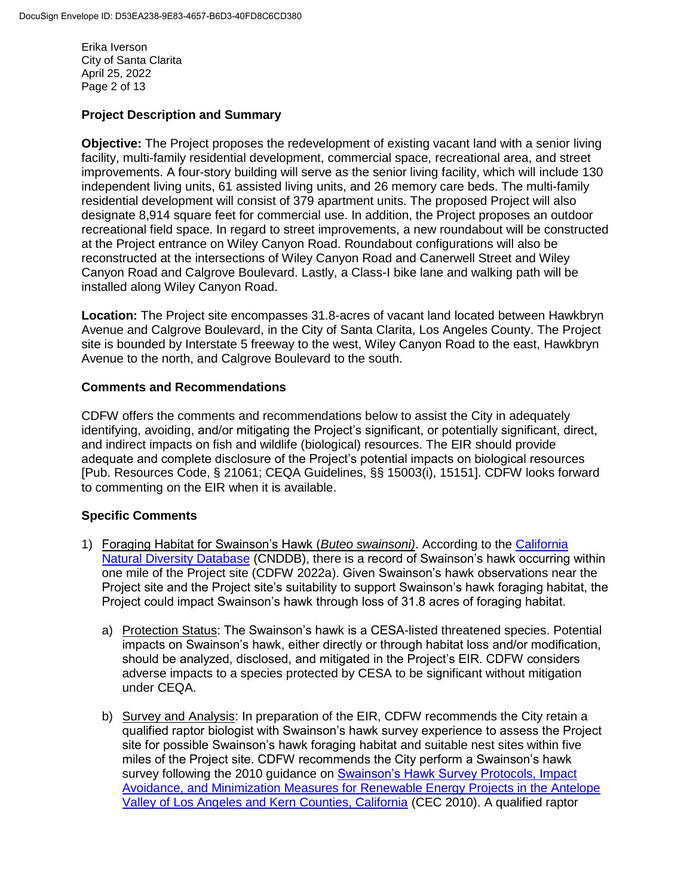Erika Iverson City of Santa Clarita April 25, 2022 Page 2 of 13

# **Project Description and Summary**

**Objective:** The Project proposes the redevelopment of existing vacant land with a senior living facility, multi-family residential development, commercial space, recreational area, and street improvements. A four-story building will serve as the senior living facility, which will include 130 independent living units, 61 assisted living units, and 26 memory care beds. The multi-family residential development will consist of 379 apartment units. The proposed Project will also designate 8,914 square feet for commercial use. In addition, the Project proposes an outdoor recreational field space. In regard to street improvements, a new roundabout will be constructed at the Project entrance on Wiley Canyon Road. Roundabout configurations will also be reconstructed at the intersections of Wiley Canyon Road and Canerwell Street and Wiley Canyon Road and Calgrove Boulevard. Lastly, a Class-I bike lane and walking path will be installed along Wiley Canyon Road.

**Location:** The Project site encompasses 31.8-acres of vacant land located between Hawkbryn Avenue and Calgrove Boulevard, in the City of Santa Clarita, Los Angeles County. The Project site is bounded by Interstate 5 freeway to the west, Wiley Canyon Road to the east, Hawkbryn Avenue to the north, and Calgrove Boulevard to the south.

### **Comments and Recommendations**

CDFW offers the comments and recommendations below to assist the City in adequately identifying, avoiding, and/or mitigating the Project's significant, or potentially significant, direct, and indirect impacts on fish and wildlife (biological) resources. The EIR should provide adequate and complete disclosure of the Project's potential impacts on biological resources [Pub. Resources Code, § 21061; CEQA Guidelines, §§ 15003(i), 15151]. CDFW looks forward to commenting on the EIR when it is available.

### **Specific Comments**

- 1) Foraging Habitat for Swainson's Hawk (*Buteo swainsoni)*. According to the [California](https://wildlife.ca.gov/Data/CNDDB/Maps-and-Data) [Natural Diversity Database](https://wildlife.ca.gov/Data/CNDDB/Maps-and-Data) (CNDDB), there is a record of Swainson's hawk occurring within one mile of the Project site (CDFW 2022a). Given Swainson's hawk observations near the Project site and the Project site's suitability to support Swainson's hawk foraging habitat, the Project could impact Swainson's hawk through loss of 31.8 acres of foraging habitat.
	- a) Protection Status: The Swainson's hawk is a CESA-listed threatened species. Potential impacts on Swainson's hawk, either directly or through habitat loss and/or modification, should be analyzed, disclosed, and mitigated in the Project's EIR. CDFW considers adverse impacts to a species protected by CESA to be significant without mitigation under CEQA.
	- b) Survey and Analysis: In preparation of the EIR, CDFW recommends the City retain a qualified raptor biologist with Swainson's hawk survey experience to assess the Project site for possible Swainson's hawk foraging habitat and suitable nest sites within five miles of the Project site. CDFW recommends the City perform a Swainson's hawk survey following the 2010 quidance on [Swainson's Hawk Survey Protocols, Impact](https://nrm.dfg.ca.gov/FileHandler.ashx?DocumentID=83991&inline) [Avoidance, and Minimization Measures for Renewable Energy Projects in the Antelope](https://nrm.dfg.ca.gov/FileHandler.ashx?DocumentID=83991&inline) [Valley of Los Angeles and Kern Counties, California](https://nrm.dfg.ca.gov/FileHandler.ashx?DocumentID=83991&inline) (CEC 2010). A qualified raptor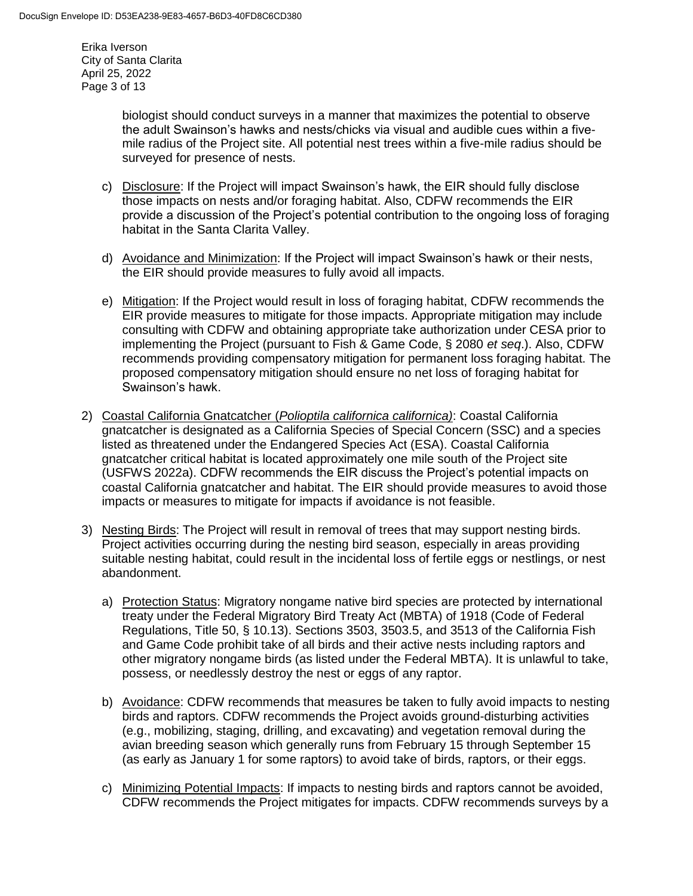Erika Iverson City of Santa Clarita April 25, 2022 Page 3 of 13

> biologist should conduct surveys in a manner that maximizes the potential to observe the adult Swainson's hawks and nests/chicks via visual and audible cues within a fivemile radius of the Project site. All potential nest trees within a five-mile radius should be surveyed for presence of nests.

- c) Disclosure: If the Project will impact Swainson's hawk, the EIR should fully disclose those impacts on nests and/or foraging habitat. Also, CDFW recommends the EIR provide a discussion of the Project's potential contribution to the ongoing loss of foraging habitat in the Santa Clarita Valley.
- d) Avoidance and Minimization: If the Project will impact Swainson's hawk or their nests, the EIR should provide measures to fully avoid all impacts.
- e) Mitigation: If the Project would result in loss of foraging habitat, CDFW recommends the EIR provide measures to mitigate for those impacts. Appropriate mitigation may include consulting with CDFW and obtaining appropriate take authorization under CESA prior to implementing the Project (pursuant to Fish & Game Code, § 2080 *et seq*.). Also, CDFW recommends providing compensatory mitigation for permanent loss foraging habitat. The proposed compensatory mitigation should ensure no net loss of foraging habitat for Swainson's hawk.
- 2) Coastal California Gnatcatcher (*Polioptila californica californica)*: Coastal California gnatcatcher is designated as a California Species of Special Concern (SSC) and a species listed as threatened under the Endangered Species Act (ESA). Coastal California gnatcatcher critical habitat is located approximately one mile south of the Project site (USFWS 2022a). CDFW recommends the EIR discuss the Project's potential impacts on coastal California gnatcatcher and habitat. The EIR should provide measures to avoid those impacts or measures to mitigate for impacts if avoidance is not feasible.
- 3) Nesting Birds: The Project will result in removal of trees that may support nesting birds. Project activities occurring during the nesting bird season, especially in areas providing suitable nesting habitat, could result in the incidental loss of fertile eggs or nestlings, or nest abandonment.
	- a) Protection Status: Migratory nongame native bird species are protected by international treaty under the Federal Migratory Bird Treaty Act (MBTA) of 1918 (Code of Federal Regulations, Title 50, § 10.13). Sections 3503, 3503.5, and 3513 of the California Fish and Game Code prohibit take of all birds and their active nests including raptors and other migratory nongame birds (as listed under the Federal MBTA). It is unlawful to take, possess, or needlessly destroy the nest or eggs of any raptor.
	- b) Avoidance: CDFW recommends that measures be taken to fully avoid impacts to nesting birds and raptors. CDFW recommends the Project avoids ground-disturbing activities (e.g., mobilizing, staging, drilling, and excavating) and vegetation removal during the avian breeding season which generally runs from February 15 through September 15 (as early as January 1 for some raptors) to avoid take of birds, raptors, or their eggs.
	- c) Minimizing Potential Impacts: If impacts to nesting birds and raptors cannot be avoided, CDFW recommends the Project mitigates for impacts. CDFW recommends surveys by a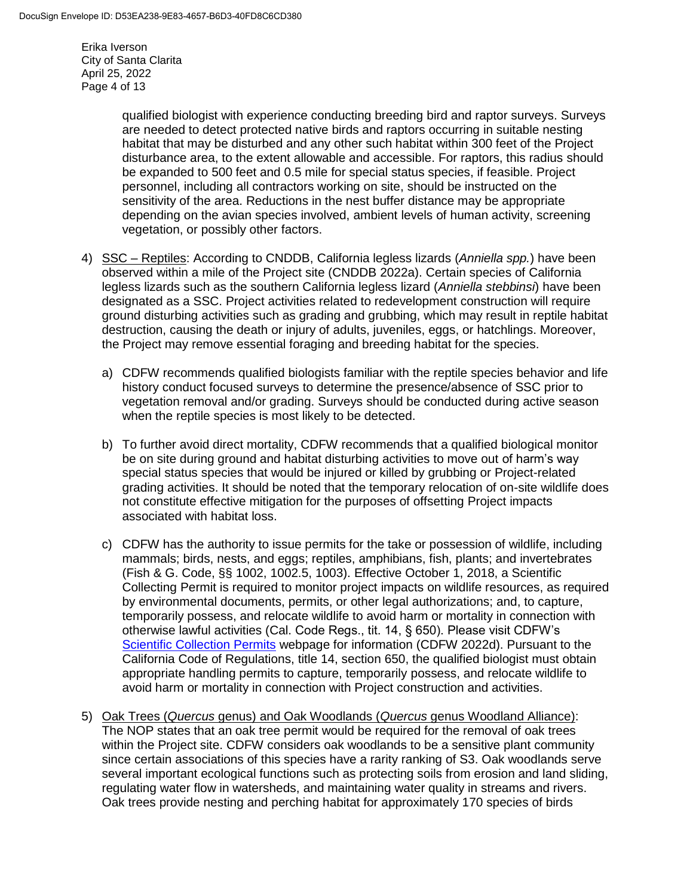Erika Iverson City of Santa Clarita April 25, 2022 Page 4 of 13

> qualified biologist with experience conducting breeding bird and raptor surveys. Surveys are needed to detect protected native birds and raptors occurring in suitable nesting habitat that may be disturbed and any other such habitat within 300 feet of the Project disturbance area, to the extent allowable and accessible. For raptors, this radius should be expanded to 500 feet and 0.5 mile for special status species, if feasible. Project personnel, including all contractors working on site, should be instructed on the sensitivity of the area. Reductions in the nest buffer distance may be appropriate depending on the avian species involved, ambient levels of human activity, screening vegetation, or possibly other factors.

- 4) SSC Reptiles: According to CNDDB, California legless lizards (*Anniella spp.*) have been observed within a mile of the Project site (CNDDB 2022a). Certain species of California legless lizards such as the southern California legless lizard (*Anniella stebbinsi*) have been designated as a SSC. Project activities related to redevelopment construction will require ground disturbing activities such as grading and grubbing, which may result in reptile habitat destruction, causing the death or injury of adults, juveniles, eggs, or hatchlings. Moreover, the Project may remove essential foraging and breeding habitat for the species.
	- a) CDFW recommends qualified biologists familiar with the reptile species behavior and life history conduct focused surveys to determine the presence/absence of SSC prior to vegetation removal and/or grading. Surveys should be conducted during active season when the reptile species is most likely to be detected.
	- b) To further avoid direct mortality, CDFW recommends that a qualified biological monitor be on site during ground and habitat disturbing activities to move out of harm's way special status species that would be injured or killed by grubbing or Project-related grading activities. It should be noted that the temporary relocation of on-site wildlife does not constitute effective mitigation for the purposes of offsetting Project impacts associated with habitat loss.
	- c) CDFW has the authority to issue permits for the take or possession of wildlife, including mammals; birds, nests, and eggs; reptiles, amphibians, fish, plants; and invertebrates (Fish & G. Code, §§ 1002, 1002.5, 1003). Effective October 1, 2018, a Scientific Collecting Permit is required to monitor project impacts on wildlife resources, as required by environmental documents, permits, or other legal authorizations; and, to capture, temporarily possess, and relocate wildlife to avoid harm or mortality in connection with otherwise lawful activities (Cal. Code Regs., tit. 14, § 650). Please visit CDFW's [Scientific Collection Permits](https://wildlife.ca.gov/Licensing/Scientific-Collecting#53949678) webpage for information (CDFW 2022d). Pursuant to the California Code of Regulations, title 14, section 650, the qualified biologist must obtain appropriate handling permits to capture, temporarily possess, and relocate wildlife to avoid harm or mortality in connection with Project construction and activities.
- 5) Oak Trees (*Quercus* genus) and Oak Woodlands (*Quercus* genus Woodland Alliance): The NOP states that an oak tree permit would be required for the removal of oak trees within the Project site. CDFW considers oak woodlands to be a sensitive plant community since certain associations of this species have a rarity ranking of S3. Oak woodlands serve several important ecological functions such as protecting soils from erosion and land sliding, regulating water flow in watersheds, and maintaining water quality in streams and rivers. Oak trees provide nesting and perching habitat for approximately 170 species of birds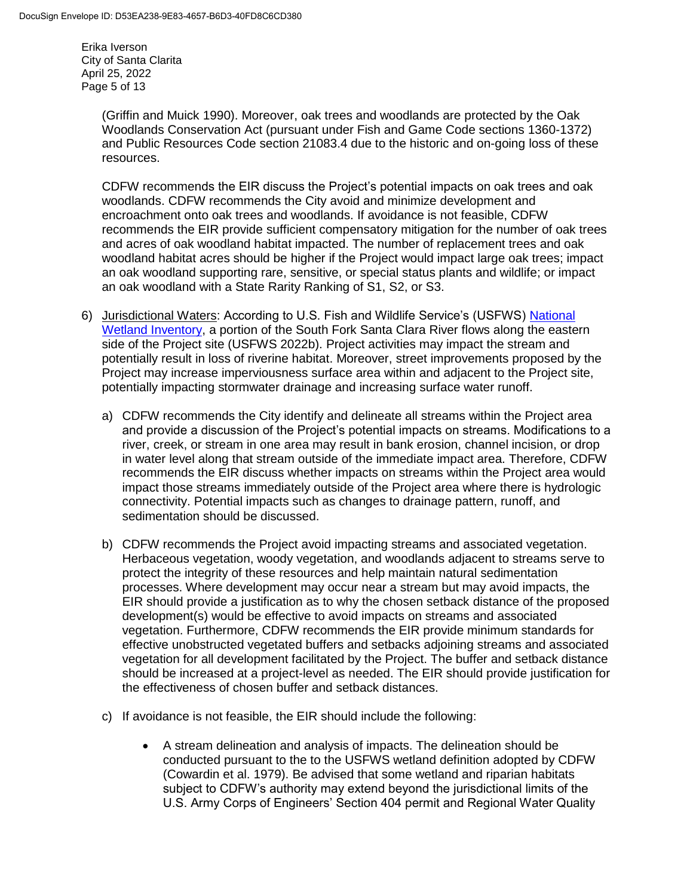Erika Iverson City of Santa Clarita April 25, 2022 Page 5 of 13

> (Griffin and Muick 1990). Moreover, oak trees and woodlands are protected by the Oak Woodlands Conservation Act (pursuant under Fish and Game Code sections 1360-1372) and Public Resources Code section 21083.4 due to the historic and on-going loss of these resources.

CDFW recommends the EIR discuss the Project's potential impacts on oak trees and oak woodlands. CDFW recommends the City avoid and minimize development and encroachment onto oak trees and woodlands. If avoidance is not feasible, CDFW recommends the EIR provide sufficient compensatory mitigation for the number of oak trees and acres of oak woodland habitat impacted. The number of replacement trees and oak woodland habitat acres should be higher if the Project would impact large oak trees; impact an oak woodland supporting rare, sensitive, or special status plants and wildlife; or impact an oak woodland with a State Rarity Ranking of S1, S2, or S3.

- 6) Jurisdictional Waters: According to U.S. Fish and Wildlife Service's (USFWS) [National](https://www.fws.gov/program/national-wetlands-inventory/wetlands-mapper) [Wetland Inventory,](https://www.fws.gov/program/national-wetlands-inventory/wetlands-mapper) a portion of the South Fork Santa Clara River flows along the eastern side of the Project site (USFWS 2022b). Project activities may impact the stream and potentially result in loss of riverine habitat. Moreover, street improvements proposed by the Project may increase imperviousness surface area within and adjacent to the Project site, potentially impacting stormwater drainage and increasing surface water runoff.
	- a) CDFW recommends the City identify and delineate all streams within the Project area and provide a discussion of the Project's potential impacts on streams. Modifications to a river, creek, or stream in one area may result in bank erosion, channel incision, or drop in water level along that stream outside of the immediate impact area. Therefore, CDFW recommends the EIR discuss whether impacts on streams within the Project area would impact those streams immediately outside of the Project area where there is hydrologic connectivity. Potential impacts such as changes to drainage pattern, runoff, and sedimentation should be discussed.
	- b) CDFW recommends the Project avoid impacting streams and associated vegetation. Herbaceous vegetation, woody vegetation, and woodlands adjacent to streams serve to protect the integrity of these resources and help maintain natural sedimentation processes. Where development may occur near a stream but may avoid impacts, the EIR should provide a justification as to why the chosen setback distance of the proposed development(s) would be effective to avoid impacts on streams and associated vegetation. Furthermore, CDFW recommends the EIR provide minimum standards for effective unobstructed vegetated buffers and setbacks adjoining streams and associated vegetation for all development facilitated by the Project. The buffer and setback distance should be increased at a project-level as needed. The EIR should provide justification for the effectiveness of chosen buffer and setback distances.
	- c) If avoidance is not feasible, the EIR should include the following:
		- A stream delineation and analysis of impacts. The delineation should be conducted pursuant to the to the USFWS wetland definition adopted by CDFW (Cowardin et al. 1979). Be advised that some wetland and riparian habitats subject to CDFW's authority may extend beyond the jurisdictional limits of the U.S. Army Corps of Engineers' Section 404 permit and Regional Water Quality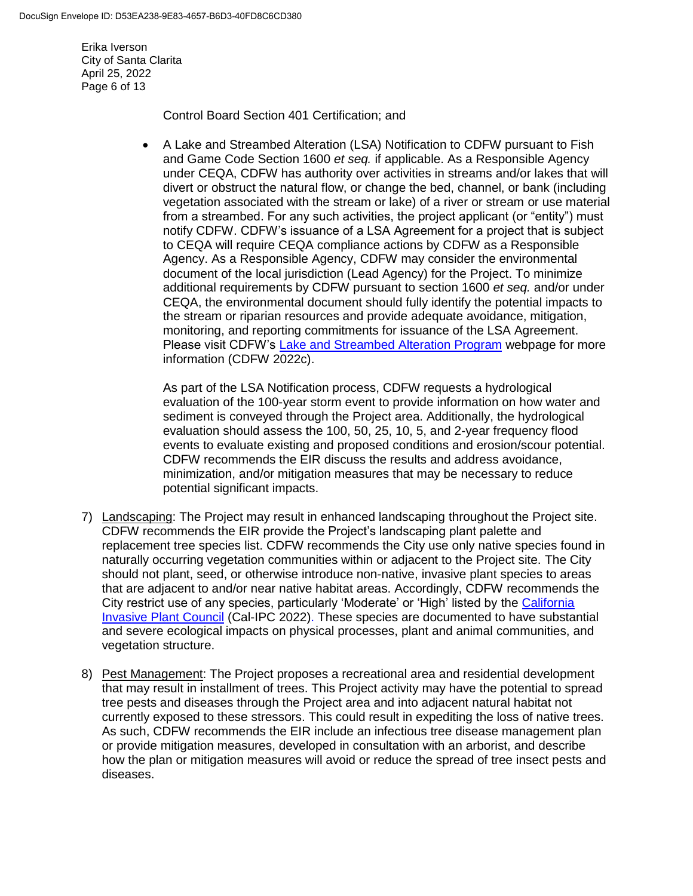Erika Iverson City of Santa Clarita April 25, 2022 Page 6 of 13

Control Board Section 401 Certification; and

 A Lake and Streambed Alteration (LSA) Notification to CDFW pursuant to Fish and Game Code Section 1600 *et seq.* if applicable. As a Responsible Agency under CEQA, CDFW has authority over activities in streams and/or lakes that will divert or obstruct the natural flow, or change the bed, channel, or bank (including vegetation associated with the stream or lake) of a river or stream or use material from a streambed. For any such activities, the project applicant (or "entity") must notify CDFW. CDFW's issuance of a LSA Agreement for a project that is subject to CEQA will require CEQA compliance actions by CDFW as a Responsible Agency. As a Responsible Agency, CDFW may consider the environmental document of the local jurisdiction (Lead Agency) for the Project. To minimize additional requirements by CDFW pursuant to section 1600 *et seq.* and/or under CEQA, the environmental document should fully identify the potential impacts to the stream or riparian resources and provide adequate avoidance, mitigation, monitoring, and reporting commitments for issuance of the LSA Agreement. Please visit CDFW's [Lake and Streambed Alteration Program](https://wildlife.ca.gov/Conservation/LSA) webpage for more information (CDFW 2022c).

As part of the LSA Notification process, CDFW requests a hydrological evaluation of the 100-year storm event to provide information on how water and sediment is conveyed through the Project area. Additionally, the hydrological evaluation should assess the 100, 50, 25, 10, 5, and 2-year frequency flood events to evaluate existing and proposed conditions and erosion/scour potential. CDFW recommends the EIR discuss the results and address avoidance, minimization, and/or mitigation measures that may be necessary to reduce potential significant impacts.

- 7) Landscaping: The Project may result in enhanced landscaping throughout the Project site. CDFW recommends the EIR provide the Project's landscaping plant palette and replacement tree species list. CDFW recommends the City use only native species found in naturally occurring vegetation communities within or adjacent to the Project site. The City should not plant, seed, or otherwise introduce non-native, invasive plant species to areas that are adjacent to and/or near native habitat areas. Accordingly, CDFW recommends the City restrict use of any species, particularly 'Moderate' or 'High' listed by the [California](https://www.cal-ipc.org/plants/inventory/)  [Invasive Plant Council](https://www.cal-ipc.org/plants/inventory/) (Cal-IPC 2022). These species are documented to have substantial and severe ecological impacts on physical processes, plant and animal communities, and vegetation structure.
- 8) Pest Management: The Project proposes a recreational area and residential development that may result in installment of trees. This Project activity may have the potential to spread tree pests and diseases through the Project area and into adjacent natural habitat not currently exposed to these stressors. This could result in expediting the loss of native trees. As such, CDFW recommends the EIR include an infectious tree disease management plan or provide mitigation measures, developed in consultation with an arborist, and describe how the plan or mitigation measures will avoid or reduce the spread of tree insect pests and diseases.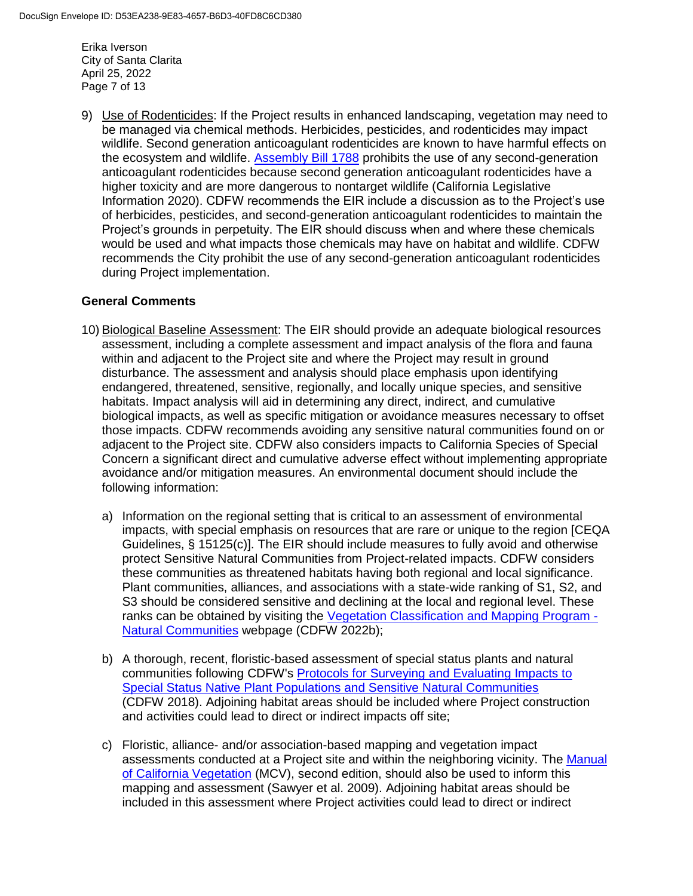Erika Iverson City of Santa Clarita April 25, 2022 Page 7 of 13

9) Use of Rodenticides: If the Project results in enhanced landscaping, vegetation may need to be managed via chemical methods. Herbicides, pesticides, and rodenticides may impact wildlife. Second generation anticoagulant rodenticides are known to have harmful effects on the ecosystem and wildlife. [Assembly Bill 1788](https://leginfo.legislature.ca.gov/faces/billTextClient.xhtml?bill_id=201920200AB1788) prohibits the use of any second-generation anticoagulant rodenticides because second generation anticoagulant rodenticides have a higher toxicity and are more dangerous to nontarget wildlife (California Legislative Information 2020). CDFW recommends the EIR include a discussion as to the Project's use of herbicides, pesticides, and second-generation anticoagulant rodenticides to maintain the Project's grounds in perpetuity. The EIR should discuss when and where these chemicals would be used and what impacts those chemicals may have on habitat and wildlife. CDFW recommends the City prohibit the use of any second-generation anticoagulant rodenticides during Project implementation.

### **General Comments**

- 10) Biological Baseline Assessment: The EIR should provide an adequate biological resources assessment, including a complete assessment and impact analysis of the flora and fauna within and adjacent to the Project site and where the Project may result in ground disturbance. The assessment and analysis should place emphasis upon identifying endangered, threatened, sensitive, regionally, and locally unique species, and sensitive habitats. Impact analysis will aid in determining any direct, indirect, and cumulative biological impacts, as well as specific mitigation or avoidance measures necessary to offset those impacts. CDFW recommends avoiding any sensitive natural communities found on or adjacent to the Project site. CDFW also considers impacts to California Species of Special Concern a significant direct and cumulative adverse effect without implementing appropriate avoidance and/or mitigation measures. An environmental document should include the following information:
	- a) Information on the regional setting that is critical to an assessment of environmental impacts, with special emphasis on resources that are rare or unique to the region [CEQA Guidelines, § 15125(c)]. The EIR should include measures to fully avoid and otherwise protect Sensitive Natural Communities from Project-related impacts. CDFW considers these communities as threatened habitats having both regional and local significance. Plant communities, alliances, and associations with a state-wide ranking of S1, S2, and S3 should be considered sensitive and declining at the local and regional level. These ranks can be obtained by visiting the [Vegetation Classification and Mapping Program -](https://wildlife.ca.gov/Data/VegCAMP/Natural-Communities) [Natural Communities](https://wildlife.ca.gov/Data/VegCAMP/Natural-Communities) webpage (CDFW 2022b);
	- b) A thorough, recent, floristic-based assessment of special status plants and natural communities following CDFW's [Protocols for Surveying and Evaluating Impacts to](https://nrm.dfg.ca.gov/FileHandler.ashx?DocumentID=18959&inline)  [Special Status Native Plant Populations and Sensitive Natural Communities](https://nrm.dfg.ca.gov/FileHandler.ashx?DocumentID=18959&inline) (CDFW 2018). Adjoining habitat areas should be included where Project construction and activities could lead to direct or indirect impacts off site;
	- c) Floristic, alliance- and/or association-based mapping and vegetation impact assessments conducted at a Project site and within the neighboring vicinity. The Manual [of California Vegetation](http://vegetation.cnps.org/) (MCV), second edition, should also be used to inform this mapping and assessment (Sawyer et al. 2009). Adjoining habitat areas should be included in this assessment where Project activities could lead to direct or indirect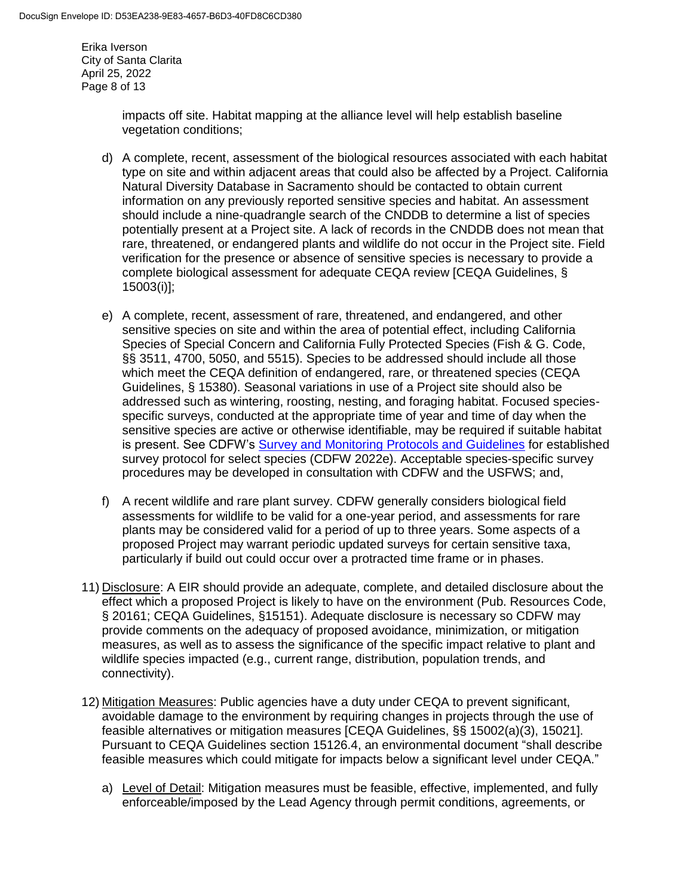Erika Iverson City of Santa Clarita April 25, 2022 Page 8 of 13

> impacts off site. Habitat mapping at the alliance level will help establish baseline vegetation conditions;

- d) A complete, recent, assessment of the biological resources associated with each habitat type on site and within adjacent areas that could also be affected by a Project. California Natural Diversity Database in Sacramento should be contacted to obtain current information on any previously reported sensitive species and habitat. An assessment should include a nine-quadrangle search of the CNDDB to determine a list of species potentially present at a Project site. A lack of records in the CNDDB does not mean that rare, threatened, or endangered plants and wildlife do not occur in the Project site. Field verification for the presence or absence of sensitive species is necessary to provide a complete biological assessment for adequate CEQA review [CEQA Guidelines, § 15003(i)];
- e) A complete, recent, assessment of rare, threatened, and endangered, and other sensitive species on site and within the area of potential effect, including California Species of Special Concern and California Fully Protected Species (Fish & G. Code, §§ 3511, 4700, 5050, and 5515). Species to be addressed should include all those which meet the CEQA definition of endangered, rare, or threatened species (CEQA Guidelines, § 15380). Seasonal variations in use of a Project site should also be addressed such as wintering, roosting, nesting, and foraging habitat. Focused speciesspecific surveys, conducted at the appropriate time of year and time of day when the sensitive species are active or otherwise identifiable, may be required if suitable habitat is present. See CDFW's [Survey and Monitoring Protocols and Guidelines](https://wildlife.ca.gov/conservation/survey-protocols) for established survey protocol for select species (CDFW 2022e). Acceptable species-specific survey procedures may be developed in consultation with CDFW and the USFWS; and,
- f) A recent wildlife and rare plant survey. CDFW generally considers biological field assessments for wildlife to be valid for a one-year period, and assessments for rare plants may be considered valid for a period of up to three years. Some aspects of a proposed Project may warrant periodic updated surveys for certain sensitive taxa, particularly if build out could occur over a protracted time frame or in phases.
- 11) Disclosure: A EIR should provide an adequate, complete, and detailed disclosure about the effect which a proposed Project is likely to have on the environment (Pub. Resources Code, § 20161; CEQA Guidelines, §15151). Adequate disclosure is necessary so CDFW may provide comments on the adequacy of proposed avoidance, minimization, or mitigation measures, as well as to assess the significance of the specific impact relative to plant and wildlife species impacted (e.g., current range, distribution, population trends, and connectivity).
- 12) Mitigation Measures: Public agencies have a duty under CEQA to prevent significant, avoidable damage to the environment by requiring changes in projects through the use of feasible alternatives or mitigation measures [CEQA Guidelines, §§ 15002(a)(3), 15021]. Pursuant to CEQA Guidelines section 15126.4, an environmental document "shall describe feasible measures which could mitigate for impacts below a significant level under CEQA."
	- a) Level of Detail: Mitigation measures must be feasible, effective, implemented, and fully enforceable/imposed by the Lead Agency through permit conditions, agreements, or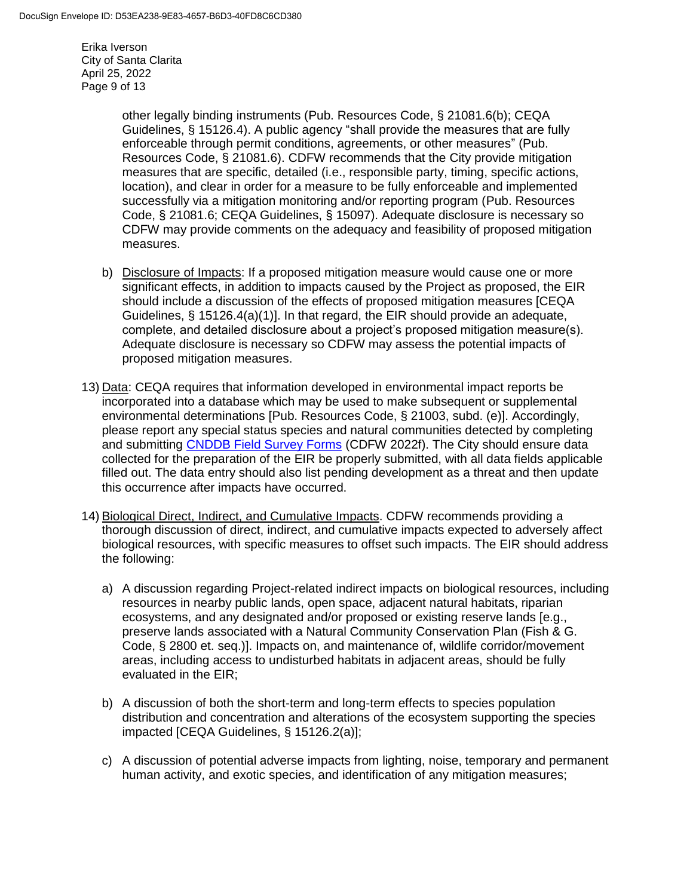Erika Iverson City of Santa Clarita April 25, 2022 Page 9 of 13

> other legally binding instruments (Pub. Resources Code, § 21081.6(b); CEQA Guidelines, § 15126.4). A public agency "shall provide the measures that are fully enforceable through permit conditions, agreements, or other measures" (Pub. Resources Code, § 21081.6). CDFW recommends that the City provide mitigation measures that are specific, detailed (i.e., responsible party, timing, specific actions, location), and clear in order for a measure to be fully enforceable and implemented successfully via a mitigation monitoring and/or reporting program (Pub. Resources Code, § 21081.6; CEQA Guidelines, § 15097). Adequate disclosure is necessary so CDFW may provide comments on the adequacy and feasibility of proposed mitigation measures.

- b) Disclosure of Impacts: If a proposed mitigation measure would cause one or more significant effects, in addition to impacts caused by the Project as proposed, the EIR should include a discussion of the effects of proposed mitigation measures [CEQA Guidelines,  $\S$  15126.4(a)(1)]. In that regard, the EIR should provide an adequate, complete, and detailed disclosure about a project's proposed mitigation measure(s). Adequate disclosure is necessary so CDFW may assess the potential impacts of proposed mitigation measures.
- 13) Data: CEQA requires that information developed in environmental impact reports be incorporated into a database which may be used to make subsequent or supplemental environmental determinations [Pub. Resources Code, § 21003, subd. (e)]. Accordingly, please report any special status species and natural communities detected by completing and submitting [CNDDB Field Survey Forms](https://wildlife.ca.gov/Data/CNDDB/Submitting-Data) (CDFW 2022f). The City should ensure data collected for the preparation of the EIR be properly submitted, with all data fields applicable filled out. The data entry should also list pending development as a threat and then update this occurrence after impacts have occurred.
- 14) Biological Direct, Indirect, and Cumulative Impacts. CDFW recommends providing a thorough discussion of direct, indirect, and cumulative impacts expected to adversely affect biological resources, with specific measures to offset such impacts. The EIR should address the following:
	- a) A discussion regarding Project-related indirect impacts on biological resources, including resources in nearby public lands, open space, adjacent natural habitats, riparian ecosystems, and any designated and/or proposed or existing reserve lands [e.g., preserve lands associated with a Natural Community Conservation Plan (Fish & G. Code, § 2800 et. seq.)]. Impacts on, and maintenance of, wildlife corridor/movement areas, including access to undisturbed habitats in adjacent areas, should be fully evaluated in the EIR;
	- b) A discussion of both the short-term and long-term effects to species population distribution and concentration and alterations of the ecosystem supporting the species impacted [CEQA Guidelines, § 15126.2(a)];
	- c) A discussion of potential adverse impacts from lighting, noise, temporary and permanent human activity, and exotic species, and identification of any mitigation measures;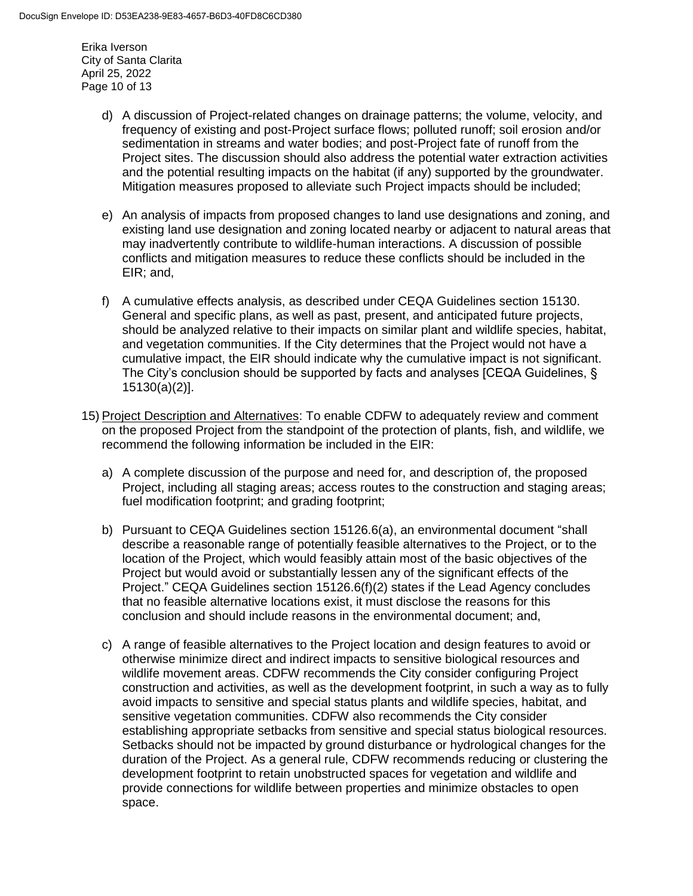Erika Iverson City of Santa Clarita April 25, 2022 Page 10 of 13

- d) A discussion of Project-related changes on drainage patterns; the volume, velocity, and frequency of existing and post-Project surface flows; polluted runoff; soil erosion and/or sedimentation in streams and water bodies; and post-Project fate of runoff from the Project sites. The discussion should also address the potential water extraction activities and the potential resulting impacts on the habitat (if any) supported by the groundwater. Mitigation measures proposed to alleviate such Project impacts should be included;
- e) An analysis of impacts from proposed changes to land use designations and zoning, and existing land use designation and zoning located nearby or adjacent to natural areas that may inadvertently contribute to wildlife-human interactions. A discussion of possible conflicts and mitigation measures to reduce these conflicts should be included in the EIR; and,
- f) A cumulative effects analysis, as described under CEQA Guidelines section 15130. General and specific plans, as well as past, present, and anticipated future projects, should be analyzed relative to their impacts on similar plant and wildlife species, habitat, and vegetation communities. If the City determines that the Project would not have a cumulative impact, the EIR should indicate why the cumulative impact is not significant. The City's conclusion should be supported by facts and analyses [CEQA Guidelines, § 15130(a)(2)].
- 15) Project Description and Alternatives: To enable CDFW to adequately review and comment on the proposed Project from the standpoint of the protection of plants, fish, and wildlife, we recommend the following information be included in the EIR:
	- a) A complete discussion of the purpose and need for, and description of, the proposed Project, including all staging areas; access routes to the construction and staging areas; fuel modification footprint; and grading footprint;
	- b) Pursuant to CEQA Guidelines section 15126.6(a), an environmental document "shall describe a reasonable range of potentially feasible alternatives to the Project, or to the location of the Project, which would feasibly attain most of the basic objectives of the Project but would avoid or substantially lessen any of the significant effects of the Project." CEQA Guidelines section 15126.6(f)(2) states if the Lead Agency concludes that no feasible alternative locations exist, it must disclose the reasons for this conclusion and should include reasons in the environmental document; and,
	- c) A range of feasible alternatives to the Project location and design features to avoid or otherwise minimize direct and indirect impacts to sensitive biological resources and wildlife movement areas. CDFW recommends the City consider configuring Project construction and activities, as well as the development footprint, in such a way as to fully avoid impacts to sensitive and special status plants and wildlife species, habitat, and sensitive vegetation communities. CDFW also recommends the City consider establishing appropriate setbacks from sensitive and special status biological resources. Setbacks should not be impacted by ground disturbance or hydrological changes for the duration of the Project. As a general rule, CDFW recommends reducing or clustering the development footprint to retain unobstructed spaces for vegetation and wildlife and provide connections for wildlife between properties and minimize obstacles to open space.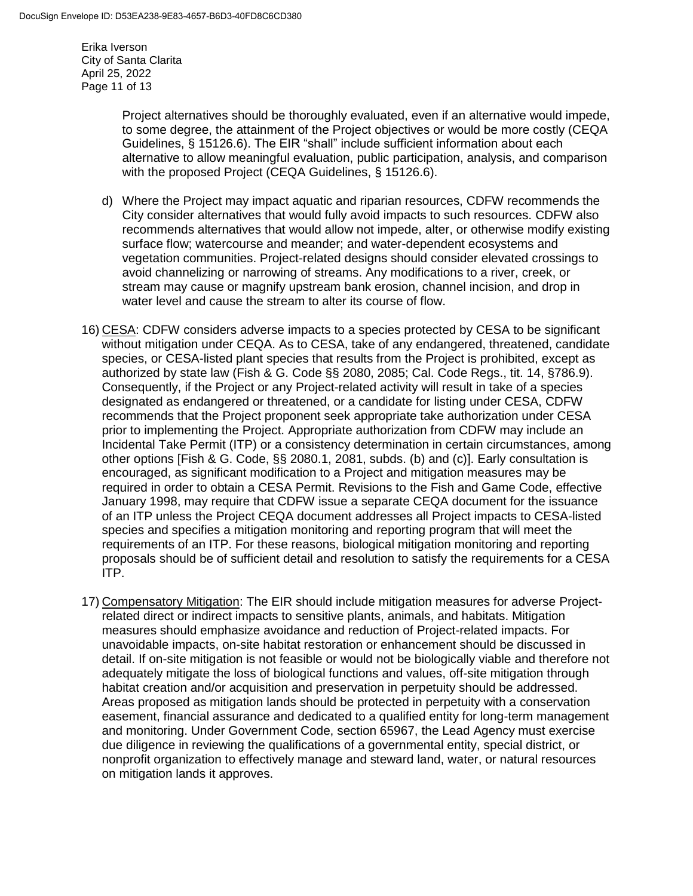Erika Iverson City of Santa Clarita April 25, 2022 Page 11 of 13

> Project alternatives should be thoroughly evaluated, even if an alternative would impede, to some degree, the attainment of the Project objectives or would be more costly (CEQA Guidelines, § 15126.6). The EIR "shall" include sufficient information about each alternative to allow meaningful evaluation, public participation, analysis, and comparison with the proposed Project (CEQA Guidelines, § 15126.6).

- d) Where the Project may impact aquatic and riparian resources, CDFW recommends the City consider alternatives that would fully avoid impacts to such resources. CDFW also recommends alternatives that would allow not impede, alter, or otherwise modify existing surface flow; watercourse and meander; and water-dependent ecosystems and vegetation communities. Project-related designs should consider elevated crossings to avoid channelizing or narrowing of streams. Any modifications to a river, creek, or stream may cause or magnify upstream bank erosion, channel incision, and drop in water level and cause the stream to alter its course of flow.
- 16) CESA: CDFW considers adverse impacts to a species protected by CESA to be significant without mitigation under CEQA. As to CESA, take of any endangered, threatened, candidate species, or CESA-listed plant species that results from the Project is prohibited, except as authorized by state law (Fish & G. Code §§ 2080, 2085; Cal. Code Regs., tit. 14, §786.9). Consequently, if the Project or any Project-related activity will result in take of a species designated as endangered or threatened, or a candidate for listing under CESA, CDFW recommends that the Project proponent seek appropriate take authorization under CESA prior to implementing the Project. Appropriate authorization from CDFW may include an Incidental Take Permit (ITP) or a consistency determination in certain circumstances, among other options [Fish & G. Code, §§ 2080.1, 2081, subds. (b) and (c)]. Early consultation is encouraged, as significant modification to a Project and mitigation measures may be required in order to obtain a CESA Permit. Revisions to the Fish and Game Code, effective January 1998, may require that CDFW issue a separate CEQA document for the issuance of an ITP unless the Project CEQA document addresses all Project impacts to CESA-listed species and specifies a mitigation monitoring and reporting program that will meet the requirements of an ITP. For these reasons, biological mitigation monitoring and reporting proposals should be of sufficient detail and resolution to satisfy the requirements for a CESA ITP.
- 17) Compensatory Mitigation: The EIR should include mitigation measures for adverse Projectrelated direct or indirect impacts to sensitive plants, animals, and habitats. Mitigation measures should emphasize avoidance and reduction of Project-related impacts. For unavoidable impacts, on-site habitat restoration or enhancement should be discussed in detail. If on-site mitigation is not feasible or would not be biologically viable and therefore not adequately mitigate the loss of biological functions and values, off-site mitigation through habitat creation and/or acquisition and preservation in perpetuity should be addressed. Areas proposed as mitigation lands should be protected in perpetuity with a conservation easement, financial assurance and dedicated to a qualified entity for long-term management and monitoring. Under Government Code, section 65967, the Lead Agency must exercise due diligence in reviewing the qualifications of a governmental entity, special district, or nonprofit organization to effectively manage and steward land, water, or natural resources on mitigation lands it approves.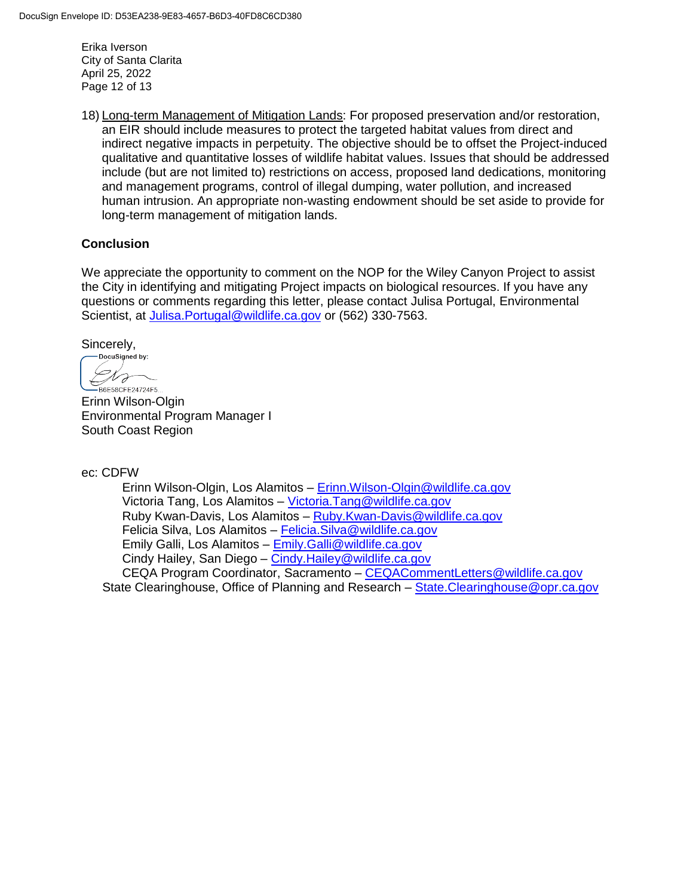Erika Iverson City of Santa Clarita April 25, 2022 Page 12 of 13

18) Long-term Management of Mitigation Lands: For proposed preservation and/or restoration, an EIR should include measures to protect the targeted habitat values from direct and indirect negative impacts in perpetuity. The objective should be to offset the Project-induced qualitative and quantitative losses of wildlife habitat values. Issues that should be addressed include (but are not limited to) restrictions on access, proposed land dedications, monitoring and management programs, control of illegal dumping, water pollution, and increased human intrusion. An appropriate non-wasting endowment should be set aside to provide for long-term management of mitigation lands.

### **Conclusion**

We appreciate the opportunity to comment on the NOP for the Wiley Canyon Project to assist the City in identifying and mitigating Project impacts on biological resources. If you have any questions or comments regarding this letter, please contact Julisa Portugal, Environmental Scientist, at [Julisa.Portugal@wildlife.ca.gov](mailto:Julisa.Portugal@wildlife.ca.gov) or (562) 330-7563.

Sincerely,<br>
Docusigned by:

 $\mathcal{N}_{\mathcal{F}}$  $\hookleftarrow$ B6E58CFE24724F5..

Erinn Wilson-Olgin Environmental Program Manager I South Coast Region

ec: CDFW

Erinn Wilson-Olgin, Los Alamitos – [Erinn.Wilson-Olgin@wildlife.ca.gov](mailto:Erinn.Wilson-Olgin@wildlife.ca.gov) Victoria Tang, Los Alamitos – [Victoria.Tang@wildlife.ca.gov](mailto:Victoria.Tang@wildlife.ca.gov) Ruby Kwan-Davis, Los Alamitos – [Ruby.Kwan-Davis@wildlife.ca.gov](mailto:Ruby.Kwan-Davis@wildlife.ca.gov) Felicia Silva, Los Alamitos – [Felicia.Silva@wildlife.ca.gov](mailto:Felicia.Silva@wildlife.ca.gov) Emily Galli, Los Alamitos – [Emily.Galli@wildlife.ca.gov](mailto:Emily.Galli@wildlife.ca.gov) Cindy Hailey, San Diego - Cindy. Hailey@wildlife.ca.gov CEQA Program Coordinator, Sacramento - CEQACommentLetters@wildlife.ca.gov State Clearinghouse, Office of Planning and Research – [State.Clearinghouse@opr.ca.gov](mailto:State.Clearinghouse@opr.ca.gov)